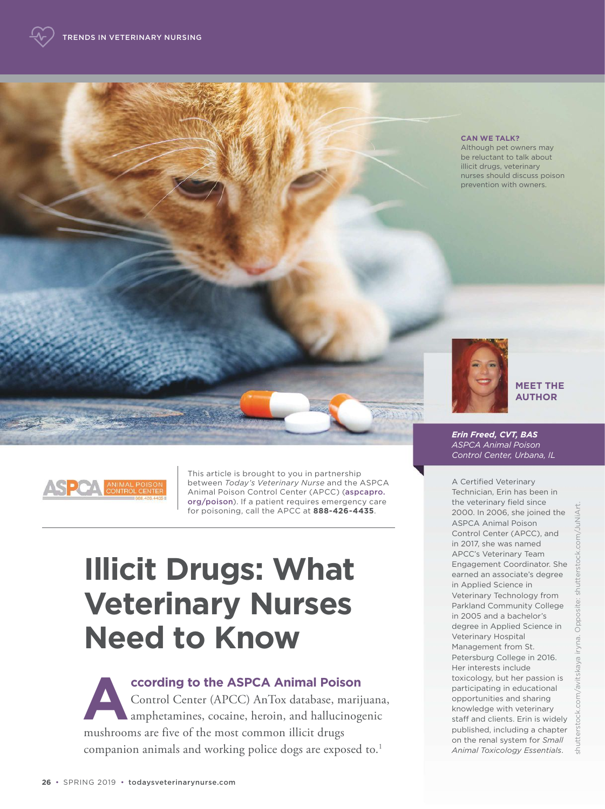#### **CAN WE TALK?**

Although pet owners may be reluctant to talk about illicit drugs, veterinary nurses should discuss poison prevention with owners.



#### **MEET THE AUTHOR**



This article is brought to you in partnership between *Today's Veterinary Nurse* and the ASPCA Animal Poison Control Center (APCC) (aspcapro. org/poison). If a patient requires emergency care for poisoning, call the APCC at **888-426-4435**.

# **Illicit Drugs: What Veterinary Nurses Need to Know**

**A ccording to the ASPCA Animal Poison**  Control Center (APCC) AnTox database, marijuana, amphetamines, cocaine, heroin, and hallucinogenic mushrooms are five of the most common illicit drugs companion animals and working police dogs are exposed to.<sup>1</sup>

*Erin Freed, CVT, BAS ASPCA Animal Poison Control Center, Urbana, IL*

A Certified Veterinary Technician, Erin has been in the veterinary field since 2000. In 2006, she joined the ASPCA Animal Poison Control Center (APCC), and in 2017, she was named APCC's Veterinary Team Engagement Coordinator. She earned an associate's degree in Applied Science in Veterinary Technology from Parkland Community College in 2005 and a bachelor's degree in Applied Science in Veterinary Hospital Management from St. Petersburg College in 2016. Her interests include toxicology, but her passion is participating in educational opportunities and sharing knowledge with veterinary staff and clients. Erin is widely published, including a chapter on the renal system for *Small Animal Toxicology Essentials*.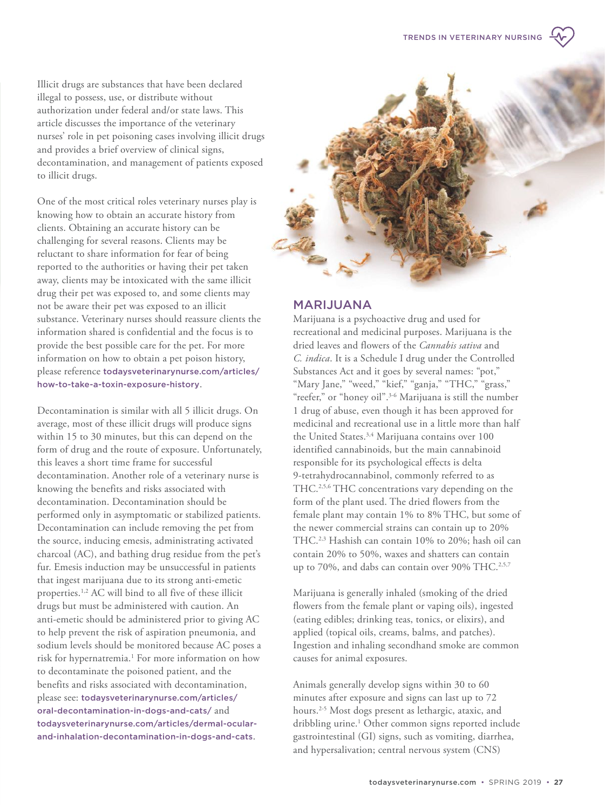Illicit drugs are substances that have been declared illegal to possess, use, or distribute without authorization under federal and/or state laws. This article discusses the importance of the veterinary nurses' role in pet poisoning cases involving illicit drugs and provides a brief overview of clinical signs, decontamination, and management of patients exposed to illicit drugs.

One of the most critical roles veterinary nurses play is knowing how to obtain an accurate history from clients. Obtaining an accurate history can be challenging for several reasons. Clients may be reluctant to share information for fear of being reported to the authorities or having their pet taken away, clients may be intoxicated with the same illicit drug their pet was exposed to, and some clients may not be aware their pet was exposed to an illicit substance. Veterinary nurses should reassure clients the information shared is confidential and the focus is to provide the best possible care for the pet. For more information on how to obtain a pet poison history, please reference [todaysveterinarynurse.com/articles/](https://todaysveterinarynurse.com/articles/how-to-take-a-toxin-exposure-history) [how-to-take-a-toxin-exposure-history](https://todaysveterinarynurse.com/articles/how-to-take-a-toxin-exposure-history).

Decontamination is similar with all 5 illicit drugs. On average, most of these illicit drugs will produce signs within 15 to 30 minutes, but this can depend on the form of drug and the route of exposure. Unfortunately, this leaves a short time frame for successful decontamination. Another role of a veterinary nurse is knowing the benefits and risks associated with decontamination. Decontamination should be performed only in asymptomatic or stabilized patients. Decontamination can include removing the pet from the source, inducing emesis, administrating activated charcoal (AC), and bathing drug residue from the pet's fur. Emesis induction may be unsuccessful in patients that ingest marijuana due to its strong anti-emetic properties.1,2 AC will bind to all five of these illicit drugs but must be administered with caution. An anti-emetic should be administered prior to giving AC to help prevent the risk of aspiration pneumonia, and sodium levels should be monitored because AC poses a risk for hypernatremia.<sup>1</sup> For more information on how to decontaminate the poisoned patient, and the benefits and risks associated with decontamination, please see: [todaysveterinarynurse.com/articles/](https://todaysveterinarynurse.com/articles/oral-decontamination-in-dogs-and-cats/and) [oral-decontamination-in-dogs-and-cats/](https://todaysveterinarynurse.com/articles/oral-decontamination-in-dogs-and-cats/and) [and](https://todaysveterinarynurse.com/articles/oral-decontamination-in-dogs-and-cats/and) [todaysveterinarynurse.com/articles/dermal-ocular](https://todaysveterinarynurse.com/articles/dermal-ocularand-inhalation-decontamination-in-dogs-and-cats)[and-inhalation-decontamination-in-dogs-and-cats](https://todaysveterinarynurse.com/articles/dermal-ocularand-inhalation-decontamination-in-dogs-and-cats).



## MARIJUANA

Marijuana is a psychoactive drug and used for recreational and medicinal purposes. Marijuana is the dried leaves and flowers of the *Cannabis sativa* and *C. indica*. It is a Schedule I drug under the Controlled Substances Act and it goes by several names: "pot," "Mary Jane," "weed," "kief," "ganja," "THC," "grass," "reefer," or "honey oil".3-6 Marijuana is still the number 1 drug of abuse, even though it has been approved for medicinal and recreational use in a little more than half the United States.<sup>3,4</sup> Marijuana contains over 100 identified cannabinoids, but the main cannabinoid responsible for its psychological effects is delta 9-tetrahydrocannabinol, commonly referred to as THC.2,5,6 THC concentrations vary depending on the form of the plant used. The dried flowers from the female plant may contain 1% to 8% THC, but some of the newer commercial strains can contain up to 20% THC.2,3 Hashish can contain 10% to 20%; hash oil can contain 20% to 50%, waxes and shatters can contain up to 70%, and dabs can contain over 90% THC.<sup>2,5,7</sup>

Marijuana is generally inhaled (smoking of the dried flowers from the female plant or vaping oils), ingested (eating edibles; drinking teas, tonics, or elixirs), and applied (topical oils, creams, balms, and patches). Ingestion and inhaling secondhand smoke are common causes for animal exposures.

Animals generally develop signs within 30 to 60 minutes after exposure and signs can last up to 72 hours.2-5 Most dogs present as lethargic, ataxic, and dribbling urine.<sup>1</sup> Other common signs reported include gastrointestinal (GI) signs, such as vomiting, diarrhea, and hypersalivation; central nervous system (CNS)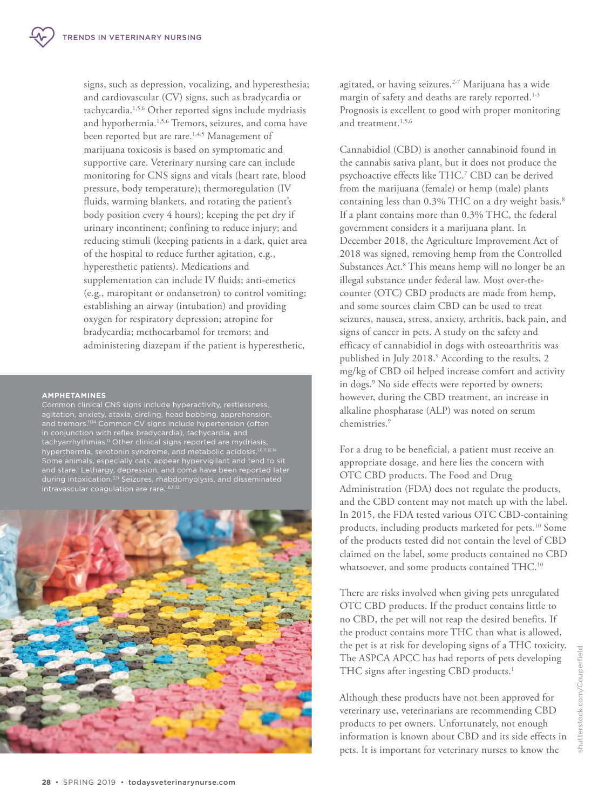signs, such as depression, vocalizing, and hyperesthesia; and cardiovascular (CV) signs, such as bradycardia or tachycardia.1,5,6 Other reported signs include mydriasis and hypothermia.1,5,6 Tremors, seizures, and coma have been reported but are rare.<sup>1,4,5</sup> Management of marijuana toxicosis is based on symptomatic and supportive care. Veterinary nursing care can include monitoring for CNS signs and vitals (heart rate, blood pressure, body temperature); thermoregulation (IV fluids, warming blankets, and rotating the patient's body position every 4 hours); keeping the pet dry if urinary incontinent; confining to reduce injury; and reducing stimuli (keeping patients in a dark, quiet area of the hospital to reduce further agitation, e.g., hyperesthetic patients). Medications and supplementation can include IV fluids; anti-emetics (e.g., maropitant or ondansetron) to control vomiting; establishing an airway (intubation) and providing oxygen for respiratory depression; atropine for bradycardia; methocarbamol for tremors; and administering diazepam if the patient is hyperesthetic,

#### **AMPHETAMINES**

Common clinical CNS signs include hyperactivity, restlessness, agitation, anxiety, ataxia, circling, head bobbing, apprehension, and tremors.<sup>11,14</sup> Common CV signs include hypertension (often in conjunction with reflex bradycardia), tachycardia, and tachyarrhythmias.11 Other clinical signs reported are mydriasis, hyperthermia, serotonin syndrome, and metabolic acidosis.<sup>1,6,11,12,14</sup> Some animals, especially cats, appear hypervigilant and tend to sit and stare. 1 Lethargy, depression, and coma have been reported later during intoxication.3,11 Seizures, rhabdomyolysis, and disseminated intravascular coagulation are rare.<sup>1,6,11,12</sup>



agitated, or having seizures.<sup>2-7</sup> Marijuana has a wide margin of safety and deaths are rarely reported.<sup>1-3</sup> Prognosis is excellent to good with proper monitoring and treatment.1,5,6

Cannabidiol (CBD) is another cannabinoid found in the cannabis sativa plant, but it does not produce the psychoactive effects like THC.<sup>7</sup> CBD can be derived from the marijuana (female) or hemp (male) plants containing less than 0.3% THC on a dry weight basis.<sup>8</sup> If a plant contains more than 0.3% THC, the federal government considers it a marijuana plant. In December 2018, the Agriculture Improvement Act of 2018 was signed, removing hemp from the Controlled Substances Act.<sup>8</sup> This means hemp will no longer be an illegal substance under federal law. Most over-thecounter (OTC) CBD products are made from hemp, and some sources claim CBD can be used to treat seizures, nausea, stress, anxiety, arthritis, back pain, and signs of cancer in pets. A study on the safety and efficacy of cannabidiol in dogs with osteoarthritis was published in July 2018.<sup>9</sup> According to the results, 2 mg/kg of CBD oil helped increase comfort and activity in dogs.<sup>9</sup> No side effects were reported by owners; however, during the CBD treatment, an increase in alkaline phosphatase (ALP) was noted on serum chemistries.<sup>9</sup>

For a drug to be beneficial, a patient must receive an appropriate dosage, and here lies the concern with OTC CBD products. The Food and Drug Administration (FDA) does not regulate the products, and the CBD content may not match up with the label. In 2015, the FDA tested various OTC CBD-containing products, including products marketed for pets.<sup>10</sup> Some of the products tested did not contain the level of CBD claimed on the label, some products contained no CBD whatsoever, and some products contained THC.<sup>10</sup>

There are risks involved when giving pets unregulated OTC CBD products. If the product contains little to no CBD, the pet will not reap the desired benefits. If the product contains more THC than what is allowed, the pet is at risk for developing signs of a THC toxicity. The ASPCA APCC has had reports of pets developing THC signs after ingesting CBD products.<sup>1</sup>

Although these products have not been approved for veterinary use, veterinarians are recommending CBD products to pet owners. Unfortunately, not enough information is known about CBD and its side effects in pets. It is important for veterinary nurses to know the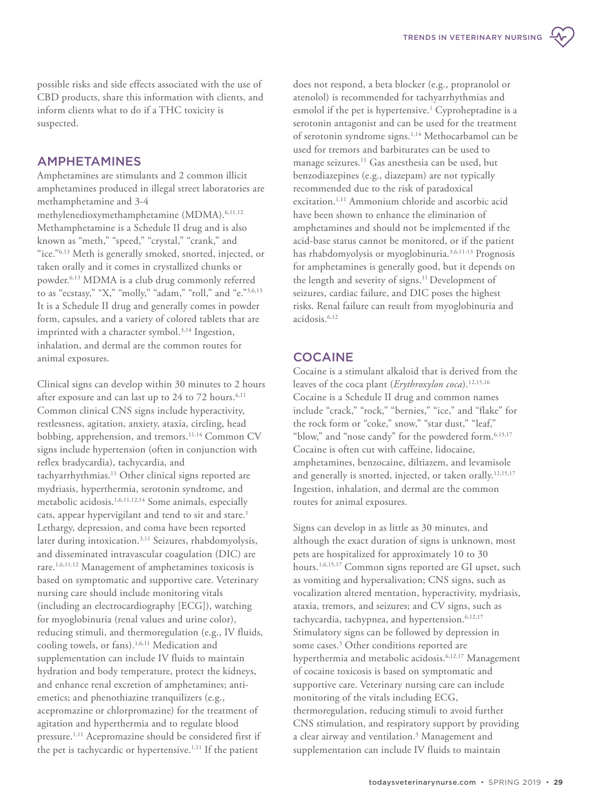possible risks and side effects associated with the use of CBD products, share this information with clients, and inform clients what to do if a THC toxicity is suspected.

## AMPHETAMINES

Amphetamines are stimulants and 2 common illicit amphetamines produced in illegal street laboratories are methamphetamine and 3-4 methylenedioxymethamphetamine (MDMA).6,11,12 Methamphetamine is a Schedule II drug and is also known as "meth," "speed," "crystal," "crank," and "ice."6,13 Meth is generally smoked, snorted, injected, or taken orally and it comes in crystallized chunks or powder.6,13 MDMA is a club drug commonly referred to as "ecstasy," "X," "molly," "adam," "roll," and "e."3,6,13 It is a Schedule II drug and generally comes in powder form, capsules, and a variety of colored tablets that are imprinted with a character symbol.<sup>3,14</sup> Ingestion, inhalation, and dermal are the common routes for animal exposures.

Clinical signs can develop within 30 minutes to 2 hours after exposure and can last up to 24 to 72 hours.<sup>6,11</sup> Common clinical CNS signs include hyperactivity, restlessness, agitation, anxiety, ataxia, circling, head bobbing, apprehension, and tremors.<sup>11,14</sup> Common CV signs include hypertension (often in conjunction with reflex bradycardia), tachycardia, and tachyarrhythmias.<sup>11</sup> Other clinical signs reported are mydriasis, hyperthermia, serotonin syndrome, and metabolic acidosis.<sup>1,6,11,12,14</sup> Some animals, especially cats, appear hypervigilant and tend to sit and stare.<sup>1</sup> Lethargy, depression, and coma have been reported later during intoxication.3,11 Seizures, rhabdomyolysis, and disseminated intravascular coagulation (DIC) are rare.1,6,11,12 Management of amphetamines toxicosis is based on symptomatic and supportive care. Veterinary nursing care should include monitoring vitals (including an electrocardiography [ECG]), watching for myoglobinuria (renal values and urine color), reducing stimuli, and thermoregulation (e.g., IV fluids, cooling towels, or fans).<sup>1,6,11</sup> Medication and supplementation can include IV fluids to maintain hydration and body temperature, protect the kidneys, and enhance renal excretion of amphetamines; antiemetics; and phenothiazine tranquilizers (e.g., acepromazine or chlorpromazine) for the treatment of agitation and hyperthermia and to regulate blood pressure.1,11 Acepromazine should be considered first if the pet is tachycardic or hypertensive.<sup>1,11</sup> If the patient

does not respond, a beta blocker (e.g., propranolol or atenolol) is recommended for tachyarrhythmias and esmolol if the pet is hypertensive.<sup>1</sup> Cyproheptadine is a serotonin antagonist and can be used for the treatment of serotonin syndrome signs.1,14 Methocarbamol can be used for tremors and barbiturates can be used to manage seizures.<sup>11</sup> Gas anesthesia can be used, but benzodiazepines (e.g., diazepam) are not typically recommended due to the risk of paradoxical excitation.<sup>1,11</sup> Ammonium chloride and ascorbic acid have been shown to enhance the elimination of amphetamines and should not be implemented if the acid-base status cannot be monitored, or if the patient has rhabdomyolysis or myoglobinuria.3,6,11-13 Prognosis for amphetamines is generally good, but it depends on the length and severity of signs.<sup>11</sup> Development of seizures, cardiac failure, and DIC poses the highest risks. Renal failure can result from myoglobinuria and acidosis.6,12

# **COCAINE**

Cocaine is a stimulant alkaloid that is derived from the leaves of the coca plant (*Erythroxylon coca*).12,15,16 Cocaine is a Schedule II drug and common names include "crack," "rock," "bernies," "ice," and "flake" for the rock form or "coke," snow," "star dust," "leaf," "blow," and "nose candy" for the powdered form.<sup>6,15,17</sup> Cocaine is often cut with caffeine, lidocaine, amphetamines, benzocaine, diltiazem, and levamisole and generally is snorted, injected, or taken orally.<sup>12,15,17</sup> Ingestion, inhalation, and dermal are the common routes for animal exposures.

Signs can develop in as little as 30 minutes, and although the exact duration of signs is unknown, most pets are hospitalized for approximately 10 to 30 hours.1,6,15,17 Common signs reported are GI upset, such as vomiting and hypersalivation; CNS signs, such as vocalization altered mentation, hyperactivity, mydriasis, ataxia, tremors, and seizures; and CV signs, such as tachycardia, tachypnea, and hypertension.<sup>6,12,17</sup> Stimulatory signs can be followed by depression in some cases.<sup>3</sup> Other conditions reported are hyperthermia and metabolic acidosis.6,12,17 Management of cocaine toxicosis is based on symptomatic and supportive care. Veterinary nursing care can include monitoring of the vitals including ECG, thermoregulation, reducing stimuli to avoid further CNS stimulation, and respiratory support by providing a clear airway and ventilation.<sup>3</sup> Management and supplementation can include IV fluids to maintain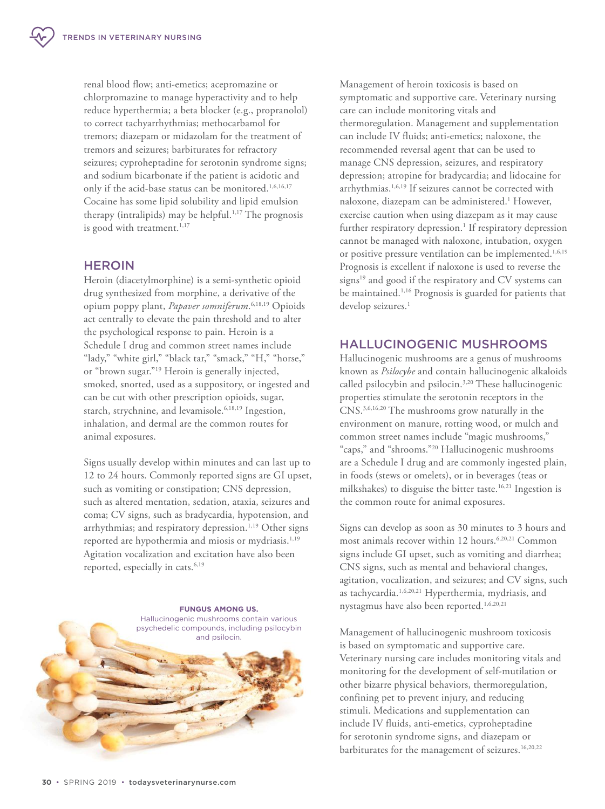renal blood flow; anti-emetics; acepromazine or chlorpromazine to manage hyperactivity and to help reduce hyperthermia; a beta blocker (e.g., propranolol) to correct tachyarrhythmias; methocarbamol for tremors; diazepam or midazolam for the treatment of tremors and seizures; barbiturates for refractory seizures; cyproheptadine for serotonin syndrome signs; and sodium bicarbonate if the patient is acidotic and only if the acid-base status can be monitored.<sup>1,6,16,17</sup> Cocaine has some lipid solubility and lipid emulsion therapy (intralipids) may be helpful.<sup>1,17</sup> The prognosis is good with treatment.<sup>1,17</sup>

# **HEROIN**

Heroin (diacetylmorphine) is a semi-synthetic opioid drug synthesized from morphine, a derivative of the opium poppy plant, *Papaver somniferum*. 6,18,19 Opioids act centrally to elevate the pain threshold and to alter the psychological response to pain. Heroin is a Schedule I drug and common street names include "lady," "white girl," "black tar," "smack," "H," "horse," or "brown sugar."<sup>19</sup> Heroin is generally injected, smoked, snorted, used as a suppository, or ingested and can be cut with other prescription opioids, sugar, starch, strychnine, and levamisole.<sup>6,18,19</sup> Ingestion, inhalation, and dermal are the common routes for animal exposures.

Signs usually develop within minutes and can last up to 12 to 24 hours. Commonly reported signs are GI upset, such as vomiting or constipation; CNS depression, such as altered mentation, sedation, ataxia, seizures and coma; CV signs, such as bradycardia, hypotension, and arrhythmias; and respiratory depression.<sup>1,19</sup> Other signs reported are hypothermia and miosis or mydriasis.<sup>1,19</sup> Agitation vocalization and excitation have also been reported, especially in cats.<sup>6,19</sup>



Management of heroin toxicosis is based on symptomatic and supportive care. Veterinary nursing care can include monitoring vitals and thermoregulation. Management and supplementation can include IV fluids; anti-emetics; naloxone, the recommended reversal agent that can be used to manage CNS depression, seizures, and respiratory depression; atropine for bradycardia; and lidocaine for arrhythmias.1,6,19 If seizures cannot be corrected with naloxone, diazepam can be administered.<sup>1</sup> However, exercise caution when using diazepam as it may cause further respiratory depression.<sup>1</sup> If respiratory depression cannot be managed with naloxone, intubation, oxygen or positive pressure ventilation can be implemented.<sup>1,6,19</sup> Prognosis is excellent if naloxone is used to reverse the signs<sup>19</sup> and good if the respiratory and CV systems can be maintained.<sup>1,16</sup> Prognosis is guarded for patients that develop seizures.<sup>1</sup>

# HALLUCINOGENIC MUSHROOMS

Hallucinogenic mushrooms are a genus of mushrooms known as *Psilocybe* and contain hallucinogenic alkaloids called psilocybin and psilocin.3,20 These hallucinogenic properties stimulate the serotonin receptors in the CNS.3,6,16,20 The mushrooms grow naturally in the environment on manure, rotting wood, or mulch and common street names include "magic mushrooms," "caps," and "shrooms."<sup>20</sup> Hallucinogenic mushrooms are a Schedule I drug and are commonly ingested plain, in foods (stews or omelets), or in beverages (teas or milkshakes) to disguise the bitter taste.<sup>16,21</sup> Ingestion is the common route for animal exposures.

Signs can develop as soon as 30 minutes to 3 hours and most animals recover within 12 hours.<sup>6,20,21</sup> Common signs include GI upset, such as vomiting and diarrhea; CNS signs, such as mental and behavioral changes, agitation, vocalization, and seizures; and CV signs, such as tachycardia.1,6,20,21 Hyperthermia, mydriasis, and nystagmus have also been reported.<sup>1,6,20,21</sup>

Management of hallucinogenic mushroom toxicosis is based on symptomatic and supportive care. Veterinary nursing care includes monitoring vitals and monitoring for the development of self-mutilation or other bizarre physical behaviors, thermoregulation, confining pet to prevent injury, and reducing stimuli. Medications and supplementation can include IV fluids, anti-emetics, cyproheptadine for serotonin syndrome signs, and diazepam or barbiturates for the management of seizures.16,20,22